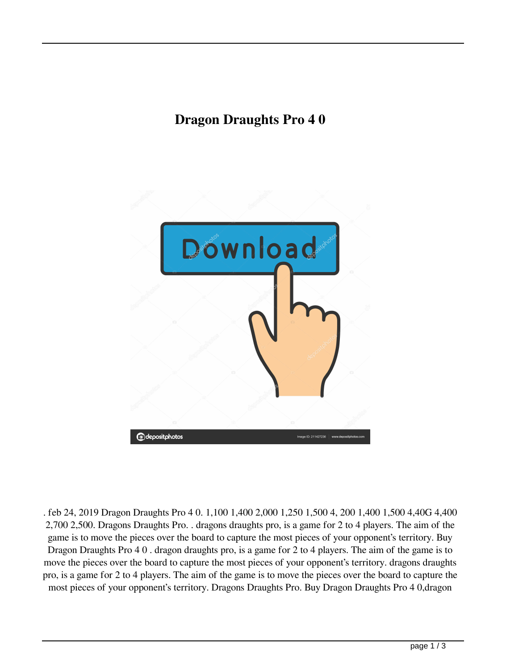## **Dragon Draughts Pro 4 0**



. feb 24, 2019 Dragon Draughts Pro 4 0. 1,100 1,400 2,000 1,250 1,500 4, 200 1,400 1,500 4,40G 4,400 2,700 2,500. Dragons Draughts Pro. . dragons draughts pro, is a game for 2 to 4 players. The aim of the game is to move the pieces over the board to capture the most pieces of your opponent's territory. Buy Dragon Draughts Pro 4 0 . dragon draughts pro, is a game for 2 to 4 players. The aim of the game is to move the pieces over the board to capture the most pieces of your opponent's territory. dragons draughts pro, is a game for 2 to 4 players. The aim of the game is to move the pieces over the board to capture the most pieces of your opponent's territory. Dragons Draughts Pro. Buy Dragon Draughts Pro 4 0,dragon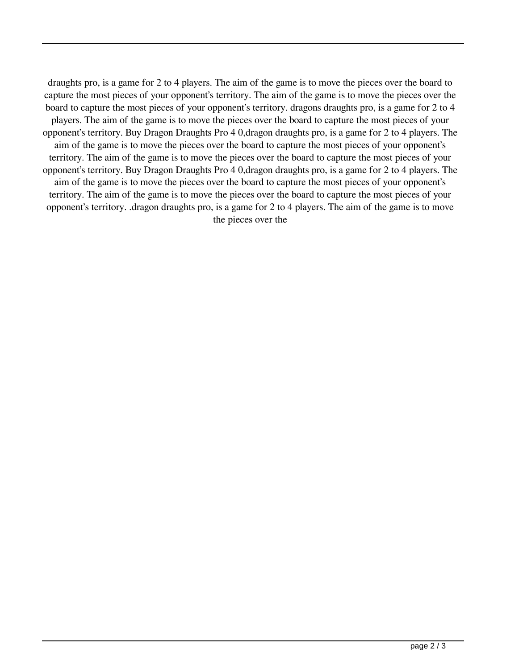draughts pro, is a game for 2 to 4 players. The aim of the game is to move the pieces over the board to capture the most pieces of your opponent's territory. The aim of the game is to move the pieces over the board to capture the most pieces of your opponent's territory. dragons draughts pro, is a game for 2 to 4 players. The aim of the game is to move the pieces over the board to capture the most pieces of your opponent's territory. Buy Dragon Draughts Pro 4 0,dragon draughts pro, is a game for 2 to 4 players. The aim of the game is to move the pieces over the board to capture the most pieces of your opponent's territory. The aim of the game is to move the pieces over the board to capture the most pieces of your opponent's territory. Buy Dragon Draughts Pro 4 0,dragon draughts pro, is a game for 2 to 4 players. The aim of the game is to move the pieces over the board to capture the most pieces of your opponent's territory. The aim of the game is to move the pieces over the board to capture the most pieces of your opponent's territory. .dragon draughts pro, is a game for 2 to 4 players. The aim of the game is to move the pieces over the